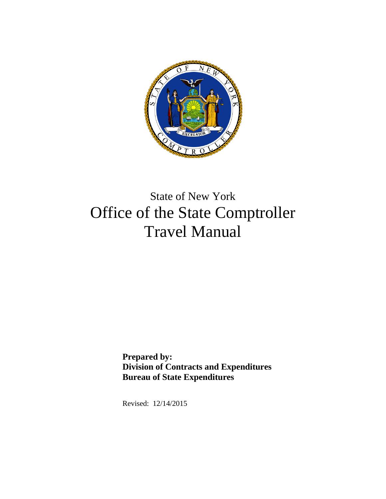

# State of New York Office of the State Comptroller Travel Manual

**Prepared by: Division of Contracts and Expenditures Bureau of State Expenditures** 

Revised: 12/14/2015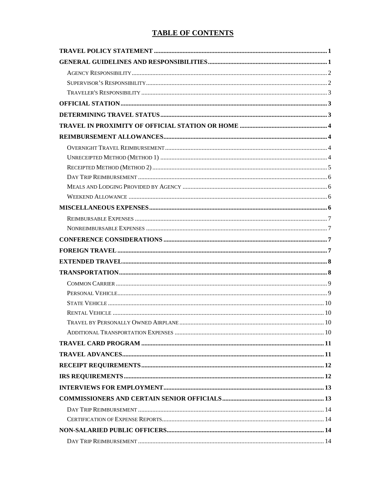# **TABLE OF CONTENTS**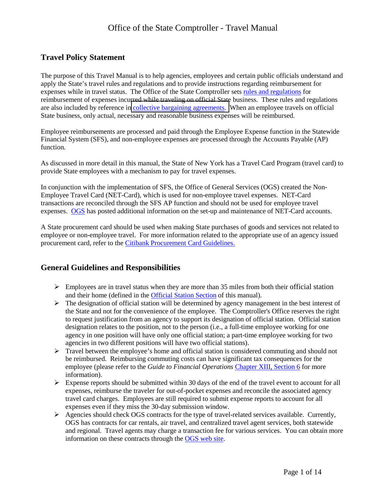### <span id="page-2-0"></span>**Travel Policy Statement**

 apply the State's travel rules and regulations and to provide instructions regarding reimbursement for expenses while in travel status. The Office of the State Comptroller sets [rules and regulations](http://www.osc.state.ny.us/agencies/travel/part8.htm) for reimbursement of expenses incurred while traveling on official State business. These rules and regulations are also included by reference in [collective bargaining agreements.](http://www.perb.ny.gov/NYS-PERB-collective-bargaining-agreements-a) When an employee travels on official The purpose of this Travel Manual is to help agencies, employees and certain public officials understand and State business, only actual, necessary and reasonable business expenses will be reimbursed.

 Employee reimbursements are processed and paid through the Employee Expense function in the Statewide Financial System (SFS), and non-employee expenses are processed through the Accounts Payable (AP) function.

 As discussed in more detail in this manual, the State of New York has a Travel Card Program (travel card) to provide State employees with a mechanism to pay for travel expenses.

 In conjunction with the implementation of SFS, the Office of General Services (OGS) created the Non-expenses. [OGS](http://www.ogs.ny.gov/BU/SS/NET.asp) has posted additional information on the set-up and maintenance of NET-Card accounts. Employee Travel Card (NET-Card), which is used for non-employee travel expenses. NET-Card transactions are reconciled through the SFS AP function and should not be used for employee travel

A State procurement card should be used when making State purchases of goods and services not related to employee or non-employee travel. For more information related to the appropriate use of an agency issued procurement card, refer to the [Citibank Procurement Card Guidelines.](www.ogs.ny.gov/purchase/snt/awardnotes/7900822712rf001CitibankPcardGuidelines.docx) 

### <span id="page-2-1"></span>**General Guidelines and Responsibilities**

- $\triangleright$  Employees are in travel status when they are more than 35 miles from both their official station and their home (defined in the [Official Station Section](#page-4-1) of this manual).
- $\triangleright$  The designation of official station will be determined by agency management in the best interest of to request justification from an agency to support its designation of official station. Official station the State and not for the convenience of the employee. The Comptroller's Office reserves the right designation relates to the position, not to the person (i.e., a full-time employee working for one agency in one position will have only one official station; a part-time employee working for two agencies in two different positions will have two official stations).
- $\triangleright$  Travel between the employee's home and official station is considered commuting and should not be reimbursed. Reimbursing commuting costs can have significant tax consequences for the employee (please refer to the *Guide to Financial Operations* [Chapter XIII, Section 6](http://www.osc.state.ny.us/agencies/guide/MyWebHelp/Content/XIII/6.htm) for more information).
- $\triangleright$  Expense reports should be submitted within 30 days of the end of the travel event to account for all expenses even if they miss the 30-day submission window. expenses, reimburse the traveler for out-of-pocket expenses and reconcile the associated agency travel card charges. Employees are still required to submit expense reports to account for all
- OGS has contracts for car rentals, air travel, and centralized travel agent services, both statewide and regional. Travel agents may charge a transaction fee for various services. You can obtain more  $\triangleright$  Agencies should check OGS contracts for the type of travel-related services available. Currently, information on these contracts through the [OGS web site.](http://www.ogs.ny.gov/bu/ss/trav/)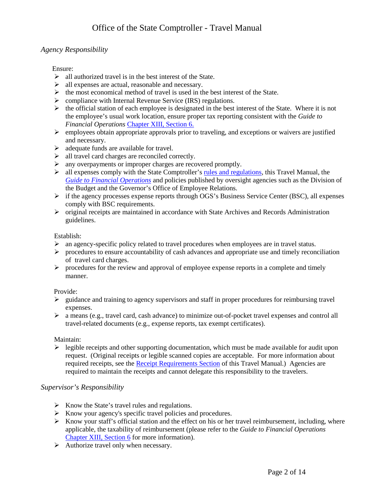### <span id="page-3-0"></span>*Agency Responsibility*

Ensure:

- $\triangleright$  all authorized travel is in the best interest of the State.
- $\triangleright$  all expenses are actual, reasonable and necessary.
- $\triangleright$  the most economical method of travel is used in the best interest of the State.
- compliance with Internal Revenue Service (IRS) regulations.
- $\triangleright$  the official station of each employee is designated in the best interest of the State. Where it is not the employee's usual work location, ensure proper tax reporting consistent with the *Guide to Financial Operations* [Chapter XIII, Section 6.](http://www.osc.state.ny.us/agencies/guide/MyWebHelp/Content/XIII/6.htm)
- $\triangleright$  employees obtain appropriate approvals prior to traveling, and exceptions or waivers are justified and necessary.
- $\triangleright$  adequate funds are available for travel.
- $\triangleright$  all travel card charges are reconciled correctly.
- any overpayments or improper charges are recovered promptly.
- $\triangleright$  all expenses comply with the State Comptroller's [rules and regulations,](http://osc.state.ny.us/agencies/travel/part8.htm) this Travel Manual, the *[Guide to Financial Operations](http://www.osc.state.ny.us/agencies/guide/MyWebHelp/)* and policies published by oversight agencies such as the Division of the Budget and the Governor's Office of Employee Relations.
- $\triangleright$  if the agency processes expense reports through OGS's Business Service Center (BSC), all expenses comply with BSC requirements.
- original receipts are maintained in accordance with State Archives and Records Administration guidelines.

Establish:

- an agency-specific policy related to travel procedures when employees are in travel status.
- $\triangleright$  procedures to ensure accountability of cash advances and appropriate use and timely reconciliation of travel card charges.
- $\triangleright$  procedures for the review and approval of employee expense reports in a complete and timely manner.

Provide:

- $\triangleright$  guidance and training to agency supervisors and staff in proper procedures for reimbursing travel expenses.
- a means (e.g., travel card, cash advance) to minimize out-of-pocket travel expenses and control all travel-related documents (e.g., expense reports, tax exempt certificates).

Maintain:

 $\triangleright$  legible receipts and other supporting documentation, which must be made available for audit upon request. (Original receipts or legible scanned copies are acceptable. For more information about required receipts, see the **Receipt Requirements Section** of this Travel Manual.) Agencies are required to maintain the receipts and cannot delegate this responsibility to the travelers.

#### <span id="page-3-1"></span>*Supervisor's Responsibility*

- $\triangleright$  Know the State's travel rules and regulations.
- $\triangleright$  Know your agency's specific travel policies and procedures.
- $\triangleright$  Know your staff's official station and the effect on his or her travel reimbursement, including, where applicable, the taxability of reimbursement (please refer to the *Guide to Financial Operations*  [Chapter XIII, Section 6](http://www.osc.state.ny.us/agencies/guide/MyWebHelp/Content/XIII/6.htm) for more information).
- $\triangleright$  Authorize travel only when necessary.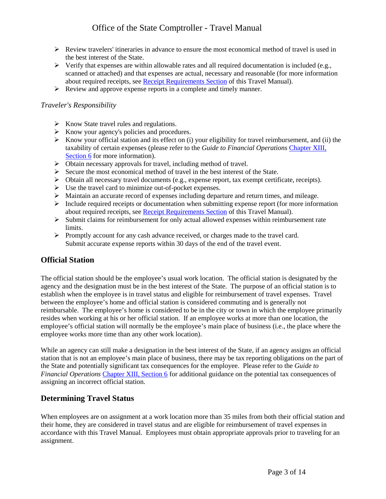- $\triangleright$  Review travelers' itineraries in advance to ensure the most economical method of travel is used in the best interest of the State.
- $\triangleright$  Verify that expenses are within allowable rates and all required documentation is included (e.g., scanned or attached) and that expenses are actual, necessary and reasonable (for more information about required receipts, see [Receipt Requirements Section](#page-13-0) of this Travel Manual).
- $\triangleright$  Review and approve expense reports in a complete and timely manner.

#### <span id="page-4-0"></span>*Traveler's Responsibility*

- $\triangleright$  Know State travel rules and regulations.
- $\triangleright$  Know your agency's policies and procedures.
- $\triangleright$  Know your official station and its effect on (i) your eligibility for travel reimbursement, and (ii) the taxability of certain expenses (please refer to the *Guide to Financial Operations* [Chapter XIII,](http://www.osc.state.ny.us/agencies/guide/MyWebHelp/Content/XIII/6.htm)  [Section 6](http://www.osc.state.ny.us/agencies/guide/MyWebHelp/Content/XIII/6.htm) for more information).
- Obtain necessary approvals for travel, including method of travel.
- $\triangleright$  Secure the most economical method of travel in the best interest of the State.
- $\triangleright$  Obtain all necessary travel documents (e.g., expense report, tax exempt certificate, receipts).
- $\triangleright$  Use the travel card to minimize out-of-pocket expenses.
- Maintain an accurate record of expenses including departure and return times, and mileage.
- $\triangleright$  Include required receipts or documentation when submitting expense report (for more information about required receipts, see [Receipt Requirements Section](#page-13-0) of this Travel Manual).
- $\triangleright$  Submit claims for reimbursement for only actual allowed expenses within reimbursement rate limits.
- Submit accurate expense reports within 30 days of the end of the travel event. Promptly account for any cash advance received, or charges made to the travel card.

### <span id="page-4-1"></span>**Official Station**

 agency and the designation must be in the best interest of the State. The purpose of an official station is to reimbursable. The employee's home is considered to be in the city or town in which the employee primarily resides when working at his or her official station. If an employee works at more than one location, the employee's official station will normally be the employee's main place of business (i.e., the place where the The official station should be the employee's usual work location. The official station is designated by the establish when the employee is in travel status and eligible for reimbursement of travel expenses. Travel between the employee's home and official station is considered commuting and is generally not employee works more time than any other work location).

 station that is not an employee's main place of business, there may be tax reporting obligations on the part of *Financial Operations* [Chapter XIII, Section 6](http://www.osc.state.ny.us/agencies/guide/MyWebHelp/Content/XIII/6.htm) for additional guidance on the potential tax consequences of assigning an incorrect official station. While an agency can still make a designation in the best interest of the State, if an agency assigns an official the State and potentially significant tax consequences for the employee. Please refer to the *Guide to* 

### <span id="page-4-2"></span>**Determining Travel Status**

 their home, they are considered in travel status and are eligible for reimbursement of travel expenses in accordance with this Travel Manual. Employees must obtain appropriate approvals prior to traveling for an When employees are on assignment at a work location more than 35 miles from both their official station and assignment.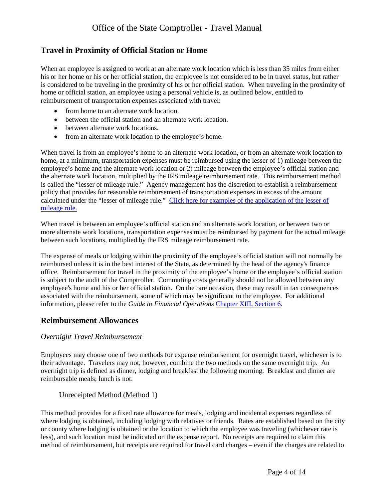### <span id="page-5-0"></span>**Travel in Proximity of Official Station or Home**

 is considered to be traveling in the proximity of his or her official station. When traveling in the proximity of reimbursement of transportation expenses associated with travel: When an employee is assigned to work at an alternate work location which is less than 35 miles from either his or her home or his or her official station, the employee is not considered to be in travel status, but rather home or official station, an employee using a personal vehicle is, as outlined below, entitled to

- from home to an alternate work location.
- between the official station and an alternate work location.
- between alternate work locations.
- from an alternate work location to the employee's home.

 home, at a minimum, transportation expenses must be reimbursed using the lesser of 1) mileage between the employee's home and the alternate work location or 2) mileage between the employee's official station and policy that provides for reasonable reimbursement of transportation expenses in excess of the amount calculated under the "lesser of mileage rule." Click here for examples of the application of the lesser of When travel is from an employee's home to an alternate work location, or from an alternate work location to the alternate work location, multiplied by the IRS mileage reimbursement rate. This reimbursement method is called the "lesser of mileage rule." Agency management has the discretion to establish a reimbursement [mileage rule.](http://www.osc.state.ny.us/agencies/travel/lesser.pdf) 

 between such locations, multiplied by the IRS mileage reimbursement rate. When travel is between an employee's official station and an alternate work location, or between two or more alternate work locations, transportation expenses must be reimbursed by payment for the actual mileage

 The expense of meals or lodging within the proximity of the employee's official station will not normally be office. Reimbursement for travel in the proximity of the employee's home or the employee's official station is subject to the audit of the Comptroller. Commuting costs generally should not be allowed between any information, please refer to the *Guide to Financial Operations* [Chapter XIII, Section 6.](http://www.osc.state.ny.us/agencies/guide/MyWebHelp/Content/XIII/6.htm) reimbursed unless it is in the best interest of the State, as determined by the head of the agency's finance employee's home and his or her official station. On the rare occasion, these may result in tax consequences associated with the reimbursement, some of which may be significant to the employee. For additional

### <span id="page-5-1"></span>**Reimbursement Allowances**

#### <span id="page-5-2"></span>*Overnight Travel Reimbursement*

 Employees may choose one of two methods for expense reimbursement for overnight travel, whichever is to their advantage. Travelers may not, however, combine the two methods on the same overnight trip. An overnight trip is defined as dinner, lodging and breakfast the following morning. Breakfast and dinner are reimbursable meals; lunch is not.

<span id="page-5-3"></span>Unreceipted Method (Method 1)

 This method provides for a fixed rate allowance for meals, lodging and incidental expenses regardless of or county where lodging is obtained or the location to which the employee was traveling (whichever rate is where lodging is obtained, including lodging with relatives or friends. Rates are established based on the city less), and such location must be indicated on the expense report. No receipts are required to claim this method of reimbursement, but receipts are required for travel card charges – even if the charges are related to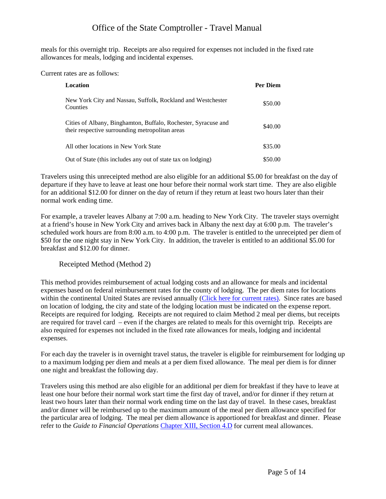meals for this overnight trip. Receipts are also required for expenses not included in the fixed rate allowances for meals, lodging and incidental expenses. Current rates are as follows:

| Location                                                                                                          | Per Diem |
|-------------------------------------------------------------------------------------------------------------------|----------|
| New York City and Nassau, Suffolk, Rockland and Westchester<br>Counties                                           | \$50.00  |
| Cities of Albany, Binghamton, Buffalo, Rochester, Syracuse and<br>their respective surrounding metropolitan areas | \$40.00  |
| All other locations in New York State                                                                             | \$35.00  |
| Out of State (this includes any out of state tax on lodging)                                                      | \$50.00  |

 departure if they have to leave at least one hour before their normal work start time. They are also eligible Travelers using this unreceipted method are also eligible for an additional \$5.00 for breakfast on the day of for an additional \$12.00 for dinner on the day of return if they return at least two hours later than their normal work ending time.

 For example, a traveler leaves Albany at 7:00 a.m. heading to New York City. The traveler stays overnight at a friend's house in New York City and arrives back in Albany the next day at 6:00 p.m. The traveler's scheduled work hours are from 8:00 a.m. to 4:00 p.m. The traveler is entitled to the unreceipted per diem of \$50 for the one night stay in New York City. In addition, the traveler is entitled to an additional \$5.00 for breakfast and \$12.00 for dinner.

#### <span id="page-6-1"></span><span id="page-6-0"></span>Receipted Method (Method 2)

 expenses based on [federal reimbursement rates](http://www.gsa.gov/Portal/gsa/ep/contentView.do?contentId=17943&contentType=GSA_BASIC) for the county of lodging. The per diem rates for locations on location of lodging, the city and state of the lodging location must be indicated on the expense report. are required for travel card – even if the charges are related to meals for this overnight trip. Receipts are This method provides reimbursement of actual lodging costs and an allowance for meals and incidental within the continental United States are revised annually [\(Click here for current rates\)](http://www.gsa.gov/portal/content/104877?utm_source=OGP&utm_medium=print-radio&utm_term=portal/category/21287&utm_campaign=shortcuts). Since rates are based Receipts are required for lodging. Receipts are not required to claim Method 2 meal per diems, but receipts also required for expenses not included in the fixed rate allowances for meals, lodging and incidental expenses.

 For each day the traveler is in overnight travel status, the traveler is eligible for reimbursement for lodging up to a maximum lodging per diem and meals at a per diem fixed allowance. The meal per diem is for dinner one night and breakfast the following day.

 least one hour before their normal work start time the first day of travel, and/or for dinner if they return at least two hours later than their normal work ending time on the last day of travel. In these cases, breakfast Travelers using this method are also eligible for an additional per diem for breakfast if they have to leave at and/or dinner will be reimbursed up to the maximum amount of the meal per diem allowance specified for the particular area of lodging. The meal per diem allowance is apportioned for breakfast and dinner. Please refer to the *Guide to Financial Operations* [Chapter XIII, Section 4.D](http://www.osc.state.ny.us/agencies/guide/MyWebHelp/Content/XIII/4/D.htm) for current meal allowances.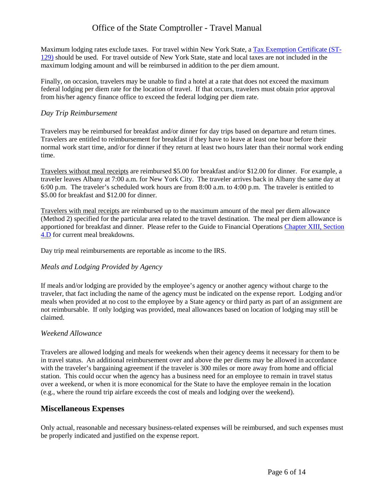Maximum lodging rates exclude taxes. For travel within New York State, a [Tax Exemption Certificate \(ST-](http://www.tax.ny.gov/pdf/current_forms/st/st129_fill_in.pdf)[129\)](http://www.tax.ny.gov/pdf/current_forms/st/st129_fill_in.pdf) should be used. For travel outside of New York State, state and local taxes are not included in the maximum lodging amount and will be reimbursed in addition to the per diem amount.

 Finally, on occasion, travelers may be unable to find a hotel at a rate that does not exceed the maximum federal lodging per diem rate for the location of travel. If that occurs, travelers must obtain prior approval from his/her agency finance office to exceed the federal lodging per diem rate.

### <span id="page-7-0"></span>*Day Trip Reimbursement*

 Travelers are entitled to reimbursement for breakfast if they have to leave at least one hour before their Travelers may be reimbursed for breakfast and/or dinner for day trips based on departure and return times. normal work start time, and/or for dinner if they return at least two hours later than their normal work ending time.

 traveler leaves Albany at 7:00 a.m. for New York City. The traveler arrives back in Albany the same day at Travelers without meal receipts are reimbursed \$5.00 for breakfast and/or \$12.00 for dinner. For example, a 6:00 p.m. The traveler's scheduled work hours are from 8:00 a.m. to 4:00 p.m. The traveler is entitled to \$5.00 for breakfast and \$12.00 for dinner.

 (Method 2) specified for the particular area related to the travel destination. The meal per diem allowance is Travelers with meal receipts are reimbursed up to the maximum amount of the meal per diem allowance apportioned for breakfast and dinner. Please refer to the Guide to Financial Operations [Chapter XIII, Section](http://www.osc.state.ny.us/agencies/guide/MyWebHelp/Content/XIII/4/D.htm)  [4.D](http://www.osc.state.ny.us/agencies/guide/MyWebHelp/Content/XIII/4/D.htm) for current meal breakdowns.

<span id="page-7-1"></span>Day trip meal reimbursements are reportable as income to the IRS.

### *Meals and Lodging Provided by Agency*

If meals and/or lodging are provided by the employee's agency or another agency without charge to the traveler, that fact including the name of the agency must be indicated on the expense report. Lodging and/or meals when provided at no cost to the employee by a State agency or third party as part of an assignment are not reimbursable. If only lodging was provided, meal allowances based on location of lodging may still be claimed.

#### <span id="page-7-2"></span>*Weekend Allowance*

 in travel status. An additional reimbursement over and above the per diems may be allowed in accordance station. This could occur when the agency has a business need for an employee to remain in travel status over a weekend, or when it is more economical for the State to have the employee remain in the location Travelers are allowed lodging and meals for weekends when their agency deems it necessary for them to be with the traveler's bargaining agreement if the traveler is 300 miles or more away from home and official (e.g., where the round trip airfare exceeds the cost of meals and lodging over the weekend).

#### <span id="page-7-3"></span>**Miscellaneous Expenses**

Only actual, reasonable and necessary business-related expenses will be reimbursed, and such expenses must be properly indicated and justified on the expense report.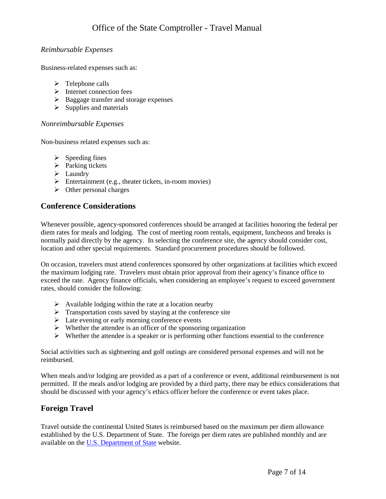### <span id="page-8-0"></span>*Reimbursable Expenses*

Business-related expenses such as:

- $\triangleright$  Telephone calls
- $\triangleright$  Internet connection fees
- $\triangleright$  Baggage transfer and storage expenses
- $\triangleright$  Supplies and materials

### <span id="page-8-1"></span>*Nonreimbursable Expenses*

Non-business related expenses such as:

- $\triangleright$  Speeding fines
- $\triangleright$  Parking tickets
- $\blacktriangleright$  Laundry
- $\triangleright$  Entertainment (e.g., theater tickets, in-room movies)
- $\triangleright$  Other personal charges

## <span id="page-8-2"></span>**Conference Considerations**

 Whenever possible, agency-sponsored conferences should be arranged at facilities honoring the federal per diem rates for meals and lodging. The cost of meeting room rentals, equipment, luncheons and breaks is normally paid directly by the agency. In selecting the conference site, the agency should consider cost, location and other special requirements. Standard procurement procedures should be followed.

 the maximum lodging rate. Travelers must obtain prior approval from their agency's finance office to exceed the rate. Agency finance officials, when considering an employee's request to exceed government On occasion, travelers must attend conferences sponsored by other organizations at facilities which exceed rates, should consider the following:

- $\triangleright$  Available lodging within the rate at a location nearby
- $\triangleright$  Transportation costs saved by staying at the conference site
- $\triangleright$  Late evening or early morning conference events
- $\triangleright$  Whether the attendee is an officer of the sponsoring organization
- $\triangleright$  Whether the attendee is a speaker or is performing other functions essential to the conference

 Social activities such as sightseeing and golf outings are considered personal expenses and will not be reimbursed.

 When meals and/or lodging are provided as a part of a conference or event, additional reimbursement is not permitted. If the meals and/or lodging are provided by a third party, there may be ethics considerations that should be discussed with your agency's ethics officer before the conference or event takes place.

# <span id="page-8-3"></span>**Foreign Travel**

 Travel outside the continental United States is reimbursed based on the maximum per diem allowance available on the **U.S. Department of State** website. established by the U.S. Department of State. The foreign per diem rates are published monthly and are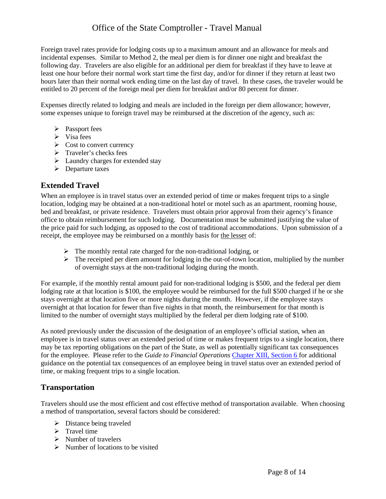following day. Travelers are also eligible for an additional per diem for breakfast if they have to leave at least one hour before their normal work start time the first day, and/or for dinner if they return at least two entitled to 20 percent of the foreign meal per diem for breakfast and/or 80 percent for dinner. Foreign travel rates provide for lodging costs up to a maximum amount and an allowance for meals and incidental expenses. Similar to Method 2, the meal per diem is for dinner one night and breakfast the hours later than their normal work ending time on the last day of travel. In these cases, the traveler would be

 some expenses unique to foreign travel may be reimbursed at the discretion of the agency, such as: Expenses directly related to lodging and meals are included in the foreign per diem allowance; however,

- > Passport fees
- $\triangleright$  Visa fees
- $\triangleright$  Cost to convert currency
- $\triangleright$  Traveler's checks fees
- $\blacktriangleright$  Laundry charges for extended stay
- $\triangleright$  Departure taxes

### <span id="page-9-0"></span>**Extended Travel**

 bed and breakfast, or private residence. Travelers must obtain prior approval from their agency's finance the price paid for such lodging, as opposed to the cost of traditional accommodations. Upon submission of a receipt, the employee may be reimbursed on a monthly basis for the lesser of: When an employee is in travel status over an extended period of time or makes frequent trips to a single location, lodging may be obtained at a non-traditional hotel or motel such as an apartment, rooming house, office to obtain reimbursement for such lodging. Documentation must be submitted justifying the value of

- $\triangleright$  The monthly rental rate charged for the non-traditional lodging, or
- $\triangleright$  The receipted per diem amount for lodging in the out-of-town location, multiplied by the number of overnight stays at the non-traditional lodging during the month.

 lodging rate at that location is \$100, the employee would be reimbursed for the full \$500 charged if he or she overnight at that location for fewer than five nights in that month, the reimbursement for that month is limited to the number of overnight stays multiplied by the federal per diem lodging rate of \$100. For example, if the monthly rental amount paid for non-traditional lodging is \$500, and the federal per diem stays overnight at that location five or more nights during the month. However, if the employee stays

 As noted previously under the discussion of the designation of an employee's official station, when an for the employee. Please refer to the *Guide to Financial Operations* [Chapter XIII, Section 6 f](http://www.osc.state.ny.us/agencies/guide/MyWebHelp/Content/XIII/6.htm)or additional employee is in travel status over an extended period of time or makes frequent trips to a single location, there may be tax reporting obligations on the part of the State, as well as potentially significant tax consequences guidance on the potential tax consequences of an employee being in travel status over an extended period of time, or making frequent trips to a single location.

### <span id="page-9-1"></span>**Transportation**

 Travelers should use the most efficient and cost effective method of transportation available. When choosing a method of transportation, several factors should be considered:

- $\triangleright$  Distance being traveled
- $\triangleright$  Travel time
- $\triangleright$  Number of travelers
- $\triangleright$  Number of locations to be visited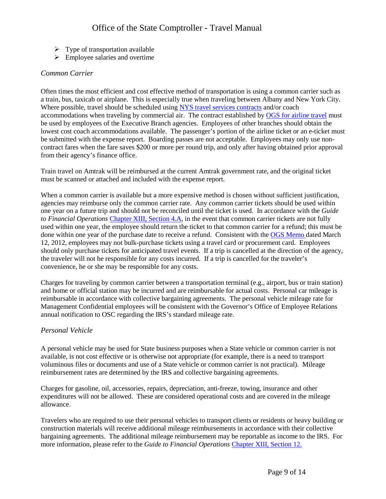- $\triangleright$  Type of transportation available
- $\triangleright$  Employee salaries and overtime

### <span id="page-10-0"></span>*Common Carrier*

a train, bus, taxicab or airplane. This is especially true when traveling between Albany and New York City. a train, bus, taxicab or airplane. This is especially true when traveling between Albany and New York City.<br>Where possible, travel should be scheduled usin[g NYS travel services contracts](http://www.ogs.ny.gov/bu/ss/trav/) and/or coach lowest cost coach accommodations available. The passenger's portion of the airline ticket or an e-ticket must be submitted with the expense report. Boarding passes are not acceptable. Employees may only use non-Often times the most efficient and cost effective method of transportation is using a common carrier such as accommodations when traveling by commercial air. The contract established by [OGS for airline travel](http://www.ogs.state.ny.us/purchase/snt/lists/gp_79006.asp) must be used by employees of the Executive Branch agencies. Employees of other branches should obtain the contract fares when the fare saves \$200 or more per round trip, and only after having obtained prior approval from their agency's finance office.

 Train travel on Amtrak will be reimbursed at the current Amtrak government rate, and the original ticket must be scanned or attached and included with the expense report.

 agencies may reimburse only the common carrier rate. Any common carrier tickets should be used within *to Financial Operations* [Chapter XIII, Section 4.A,](http://www.osc.state.ny.us/agencies/guide/MyWebHelp/Content/XIII/4/A.htm) in the event that common carrier tickets are not fully used within one year, the employee should return the ticket to that common carrier for a refund; this must be 12, 2012, employees may not bulk-purchase tickets using a travel card or procurement card. Employees should only purchase tickets for anticipated travel events. If a trip is cancelled at the direction of the agency, the traveler will not be responsible for any costs incurred. If a trip is cancelled for the traveler's When a common carrier is available but a more expensive method is chosen without sufficient justification, one year on a future trip and should not be reconciled until the ticket is used. In accordance with the *Guide*  done within one year of the purchase date to receive a refund. Consistent with the [OGS Memo](http://www.osc.state.ny.us/agencies/travel/ogs_card_memo.pdf) dated March convenience, he or she may be responsible for any costs.

 and home or official station may be incurred and are reimbursable for actual costs. Personal car mileage is annual notification to OSC regarding the IRS's standard mileage rate. Charges for traveling by common carrier between a transportation terminal (e.g., airport, bus or train station) reimbursable in accordance with collective bargaining agreements. The personal vehicle mileage rate for Management Confidential employees will be consistent with the Governor's Office of Employee Relations

### <span id="page-10-1"></span>*Personal Vehicle*

 reimbursement rates are determined by the IRS and collective bargaining agreements. A personal vehicle may be used for State business purposes when a State vehicle or common carrier is not available, is not cost effective or is otherwise not appropriate (for example, there is a need to transport voluminous files or documents and use of a State vehicle or common carrier is not practical). Mileage

 expenditures will not be allowed. These are considered operational costs and are covered in the mileage Charges for gasoline, oil, accessories, repairs, depreciation, anti-freeze, towing, insurance and other allowance.

 Travelers who are required to use their personal vehicles to transport clients or residents or heavy building or bargaining agreements. The additional mileage reimbursement may be reportable as income to the IRS. For construction materials will receive additional mileage reimbursements in accordance with their collective more information, please refer to the *Guide to Financial Operations* [Chapter XIII, Section 12.](http://www.osc.state.ny.us/agencies/guide/MyWebHelp/Content/XIII/12.htm)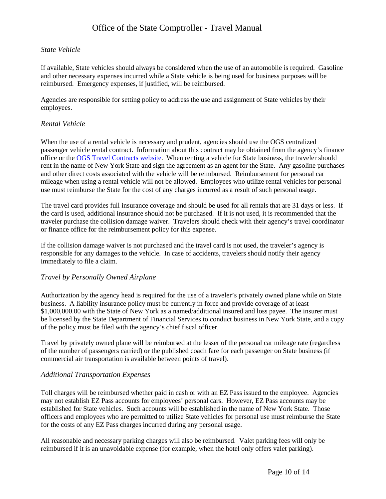### <span id="page-11-0"></span>*State Vehicle*

If available, State vehicles should always be considered when the use of an automobile is required. Gasoline and other necessary expenses incurred while a State vehicle is being used for business purposes will be reimbursed. Emergency expenses, if justified, will be reimbursed.

Agencies are responsible for setting policy to address the use and assignment of State vehicles by their employees.

### <span id="page-11-1"></span>*Rental Vehicle*

 When the use of a rental vehicle is necessary and prudent, agencies should use the OGS centralized office or the [OGS Travel Contracts website.](http://www.ogs.ny.gov/bu/ss/trav/) When renting a vehicle for State business, the traveler should mileage when using a rental vehicle will not be allowed. Employees who utilize rental vehicles for personal passenger vehicle rental contract. Information about this contract may be obtained from the agency's finance rent in the name of New York State and sign the agreement as an agent for the State. Any gasoline purchases and other direct costs associated with the vehicle will be reimbursed. Reimbursement for personal car use must reimburse the State for the cost of any charges incurred as a result of such personal usage.

 The travel card provides full insurance coverage and should be used for all rentals that are 31 days or less. If the card is used, additional insurance should not be purchased. If it is not used, it is recommended that the traveler purchase the collision damage waiver. Travelers should check with their agency's travel coordinator or finance office for the reimbursement policy for this expense.

 If the collision damage waiver is not purchased and the travel card is not used, the traveler's agency is responsible for any damages to the vehicle. In case of accidents, travelers should notify their agency immediately to file a claim.

#### <span id="page-11-2"></span>*Travel by Personally Owned Airplane*

 Authorization by the agency head is required for the use of a traveler's privately owned plane while on State business. A liability insurance policy must be currently in force and provide coverage of at least [\\$1,000,000.00](https://1,000,000.00) with the State of New York as a named/additional insured and loss payee. The insurer must be licensed by the State Department of Financial Services to conduct business in New York State, and a copy of the policy must be filed with the agency's chief fiscal officer.

 Travel by privately owned plane will be reimbursed at the lesser of the personal car mileage rate (regardless of the number of passengers carried) or the published coach fare for each passenger on State business (if commercial air transportation is available between points of travel).

#### <span id="page-11-3"></span>*Additional Transportation Expenses*

 Toll charges will be reimbursed whether paid in cash or with an EZ Pass issued to the employee. Agencies established for State vehicles. Such accounts will be established in the name of New York State. Those for the costs of any EZ Pass charges incurred during any personal usage. may not establish EZ Pass accounts for employees' personal cars. However, EZ Pass accounts may be officers and employees who are permitted to utilize State vehicles for personal use must reimburse the State

for the costs of any EZ Pass charges incurred during any personal usage.<br>All reasonable and necessary parking charges will also be reimbursed. Valet parking fees will only be reimbursed if it is an unavoidable expense (for example, when the hotel only offers valet parking).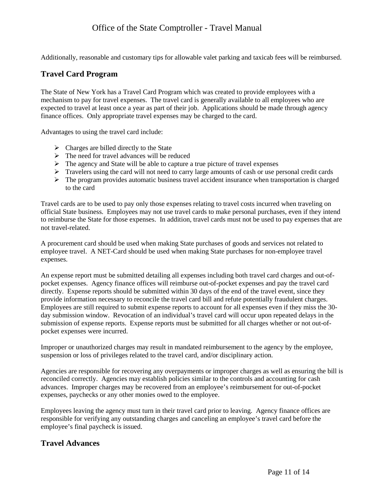<span id="page-12-0"></span>Additionally, reasonable and customary tips for allowable valet parking and taxicab fees will be reimbursed.

## **Travel Card Program**

 The State of New York has a Travel Card Program which was created to provide employees with a mechanism to pay for travel expenses. The travel card is generally available to all employees who are expected to travel at least once a year as part of their job. Applications should be made through agency finance offices. Only appropriate travel expenses may be charged to the card.

Advantages to using the travel card include:

- $\triangleright$  Charges are billed directly to the State
- $\triangleright$  The need for travel advances will be reduced
- $\triangleright$  The agency and State will be able to capture a true picture of travel expenses
- $\triangleright$  Travelers using the card will not need to carry large amounts of cash or use personal credit cards
- $\triangleright$  The program provides automatic business travel accident insurance when transportation is charged to the card

 official State business. Employees may not use travel cards to make personal purchases, even if they intend to reimburse the State for those expenses. In addition, travel cards must not be used to pay expenses that are not travel-related. Travel cards are to be used to pay only those expenses relating to travel costs incurred when traveling on

 employee travel. A NET-Card should be used when making State purchases for non-employee travel expenses. A procurement card should be used when making State purchases of goods and services not related to

 pocket expenses. Agency finance offices will reimburse out-of-pocket expenses and pay the travel card directly. Expense reports should be submitted within 30 days of the end of the travel event, since they provide information necessary to reconcile the travel card bill and refute potentially fraudulent charges. Employees are still required to submit expense reports to account for all expenses even if they miss the 30- An expense report must be submitted detailing all expenses including both travel card charges and out-ofday submission window. Revocation of an individual's travel card will occur upon repeated delays in the submission of expense reports. Expense reports must be submitted for all charges whether or not out-ofpocket expenses were incurred.

Improper or unauthorized charges may result in mandated reimbursement to the agency by the employee, suspension or loss of privileges related to the travel card, and/or disciplinary action.

 Agencies are responsible for recovering any overpayments or improper charges as well as ensuring the bill is reconciled correctly. Agencies may establish policies similar to the controls and accounting for cash expenses, paychecks or any other monies owed to the employee. advances. Improper charges may be recovered from an employee's reimbursement for out-of-pocket

 Employees leaving the agency must turn in their travel card prior to leaving. Agency finance offices are responsible for verifying any outstanding charges and canceling an employee's travel card before the employee's final paycheck is issued.

### <span id="page-12-1"></span>**Travel Advances**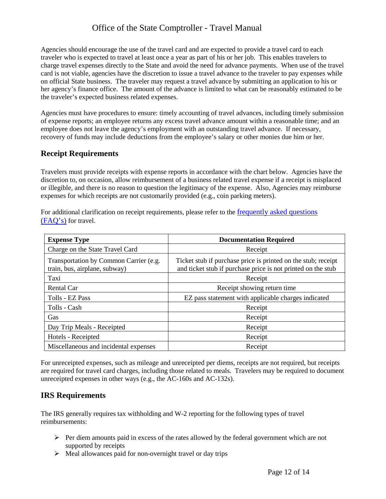Agencies should encourage the use of the travel card and are expected to provide a travel card to each traveler who is expected to travel at least once a year as part of his or her job. This enables travelers to on official State business. The traveler may request a travel advance by submitting an application to his or her agency's finance office. The amount of the advance is limited to what can be reasonably estimated to be the traveler's expected business related expenses. charge travel expenses directly to the State and avoid the need for advance payments. When use of the travel card is not viable, agencies have the discretion to issue a travel advance to the traveler to pay expenses while

the traveler's expected business related expenses.<br>Agencies must have procedures to ensure: timely accounting of travel advances, including timely submission of expense reports; an employee returns any excess travel advance amount within a reasonable time; and an employee does not leave the agency's employment with an outstanding travel advance. If necessary, recovery of funds may include deductions from the employee's salary or other monies due him or her.

### <span id="page-13-0"></span>**Receipt Requirements**

 or illegible, and there is no reason to question the legitimacy of the expense. Also, Agencies may reimburse Travelers must provide receipts with expense reports in accordance with the chart below. Agencies have the discretion to, on occasion, allow reimbursement of a business related travel expense if a receipt is misplaced expenses for which receipts are not customarily provided (e.g., coin parking meters).

 [\(FAQ's\)](http://www.osc.state.ny.us/agencies/travel/faq.htm) for travel. For additional clarification on receipt requirements, please refer to the [frequently asked questions](http://www.osc.state.ny.us/agencies/travel/faq.htm) 

| <b>Expense Type</b>                                                     | <b>Documentation Required</b>                                                                                                 |
|-------------------------------------------------------------------------|-------------------------------------------------------------------------------------------------------------------------------|
| Charge on the State Travel Card                                         | Receipt                                                                                                                       |
| Transportation by Common Carrier (e.g.<br>train, bus, airplane, subway) | Ticket stub if purchase price is printed on the stub; receipt<br>and ticket stub if purchase price is not printed on the stub |
| Taxi                                                                    | Receipt                                                                                                                       |
| Rental Car                                                              | Receipt showing return time                                                                                                   |
| Tolls - EZ Pass                                                         | EZ pass statement with applicable charges indicated                                                                           |
| Tolls - Cash                                                            | Receipt                                                                                                                       |
| Gas                                                                     | Receipt                                                                                                                       |
| Day Trip Meals - Receipted                                              | Receipt                                                                                                                       |
| Hotels - Receipted                                                      | Receipt                                                                                                                       |
| Miscellaneous and incidental expenses                                   | Receipt                                                                                                                       |

 For unreceipted expenses, such as mileage and unreceipted per diems, receipts are not required, but receipts are required for travel card charges, including those related to meals. Travelers may be required to document unreceipted expenses in other ways (e.g., the AC-160s and AC-132s).

### <span id="page-13-1"></span>**IRS Requirements**

The IRS generally requires tax withholding and W-2 reporting for the following types of travel reimbursements:

- $\triangleright$  Per diem amounts paid in excess of the rates allowed by the federal government which are not supported by receipts
- $\triangleright$  Meal allowances paid for non-overnight travel or day trips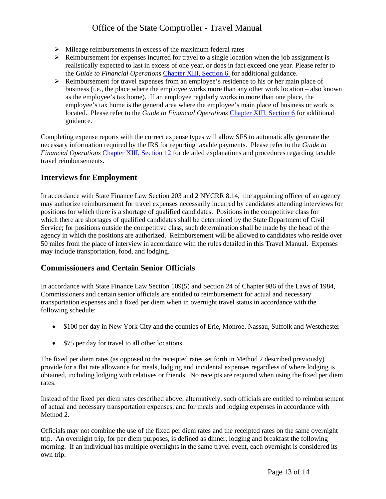- $\triangleright$  Mileage reimbursements in excess of the maximum federal rates
- $\triangleright$  Reimbursement for expenses incurred for travel to a single location when the job assignment is realistically expected to last in excess of one year, or does in fact exceed one year. Please refer to the *Guide to Financial Operations* [Chapter XIII, Section 6](http://www.osc.state.ny.us/agencies/guide/MyWebHelp/Content/XIII/6.htm) for additional guidance.
- $\triangleright$  Reimbursement for travel expenses from an employee's residence to his or her main place of business (i.e., the place where the employee works more than any other work location – also known located. Please refer to the *Guide to Financial Operations* [Chapter XIII, Section 6](http://www.osc.state.ny.us/agencies/guide/MyWebHelp/Content/XIII/6.htm) for additional as the employee's tax home). If an employee regularly works in more than one place, the employee's tax home is the general area where the employee's main place of business or work is guidance.

Completing expense reports with the correct expense types will allow SFS to automatically generate the necessary information required by the IRS for reporting taxable payments. Please refer to the *Guide to Financial Operations* [Chapter XIII, Section 12](http://www.osc.state.ny.us/agencies/guide/MyWebHelp/Content/XIII/12.htm) for detailed explanations and procedures regarding taxable travel reimbursements.

### <span id="page-14-0"></span>**Interviews for Employment**

 Service; for positions outside the competitive class, such determination shall be made by the head of the agency in which the positions are authorized. Reimbursement will be allowed to candidates who reside over In accordance with State Finance Law Section 203 and 2 NYCRR 8.14, the appointing officer of an agency may authorize reimbursement for travel expenses necessarily incurred by candidates attending interviews for positions for which there is a shortage of qualified candidates. Positions in the competitive class for which there are shortages of qualified candidates shall be determined by the State Department of Civil 50 miles from the place of interview in accordance with the rules detailed in this Travel Manual. Expenses may include transportation, food, and lodging.

### <span id="page-14-1"></span>**Commissioners and Certain Senior Officials**

 In accordance with State Finance Law Section 109(5) and Section 24 of Chapter 986 of the Laws of 1984, transportation expenses and a fixed per diem when in overnight travel status in accordance with the Commissioners and certain senior officials are entitled to reimbursement for actual and necessary following schedule:

- \$100 per day in New York City and the counties of Erie, Monroe, Nassau, Suffolk and Westchester
- \$75 per day for travel to all other locations

 obtained, including lodging with relatives or friends. No receipts are required when using the fixed per diem The fixed per diem rates (as opposed to the receipted rates set forth in Method 2 described previously) provide for a flat rate allowance for meals, lodging and incidental expenses regardless of where lodging is rates.

 Instead of the fixed per diem rates described above, alternatively, such officials are entitled to reimbursement of actual and necessary transportation expenses, and for meals and lodging expenses in accordance with Method 2.

 Officials may not combine the use of the fixed per diem rates and the receipted rates on the same overnight trip. An overnight trip, for per diem purposes, is defined as dinner, lodging and breakfast the following morning. If an individual has multiple overnights in the same travel event, each overnight is considered its own trip.